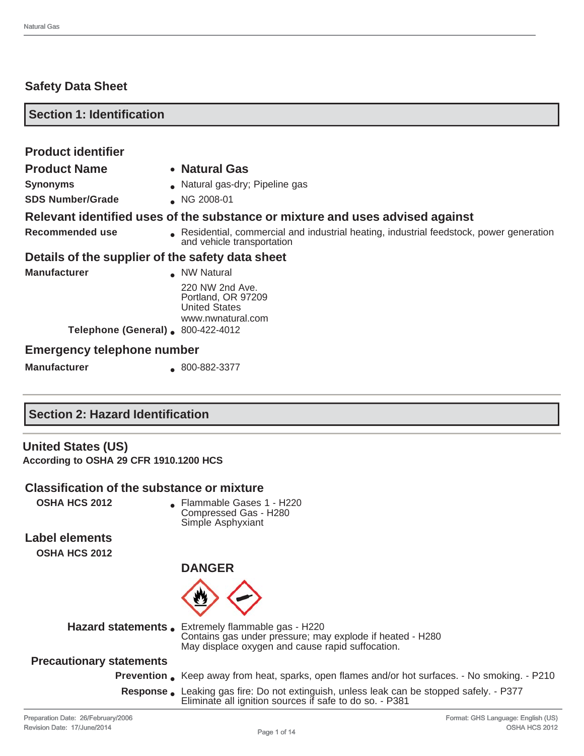## **Safety Data Sheet**

| <b>Section 1: Identification</b>  |                                                                                                                        |  |
|-----------------------------------|------------------------------------------------------------------------------------------------------------------------|--|
|                                   |                                                                                                                        |  |
| <b>Product identifier</b>         |                                                                                                                        |  |
| <b>Product Name</b>               | • Natural Gas                                                                                                          |  |
| <b>Synonyms</b>                   | • Natural gas-dry; Pipeline gas                                                                                        |  |
| <b>SDS Number/Grade</b>           | NG 2008-01                                                                                                             |  |
|                                   | Relevant identified uses of the substance or mixture and uses advised against                                          |  |
| Recommended use                   | Residential, commercial and industrial heating, industrial feedstock, power generation<br>and vehicle transportation   |  |
|                                   | Details of the supplier of the safety data sheet                                                                       |  |
| <b>Manufacturer</b>               | NW Natural                                                                                                             |  |
|                                   | 220 NW 2nd Ave.<br>Portland, OR 97209<br><b>United States</b><br>www.nwnatural.com<br>Telephone (General) 800-422-4012 |  |
|                                   |                                                                                                                        |  |
| <b>Emergency telephone number</b> |                                                                                                                        |  |
| <b>Manufacturer</b>               | 800-882-3377                                                                                                           |  |

## **Section 2: Hazard Identification**

# **United States (US)**

**According to OSHA 29 CFR 1910.1200 HCS**

### **Classification of the substance or mixture**

**OSHA HCS 2012 COSHA HCS 2012 COSHA HCS 2012** Compressed Gas - H280 Simple Asphyxiant

**Label elements OSHA HCS 2012**

**DANGER**



**Hazard statements.** Extremely flammable gas - H220 Contains gas under pressure; may explode if heated - H280 May displace oxygen and cause rapid suffocation.

## **Precautionary statements**

- **Prevention** Keep away from heat, sparks, open flames and/or hot surfaces. No smoking. P210
- **Response** Leaking gas fire: Do not extinguish, unless leak can be stopped safely. P377 Eliminate all ignition sources if safe to do so. - P381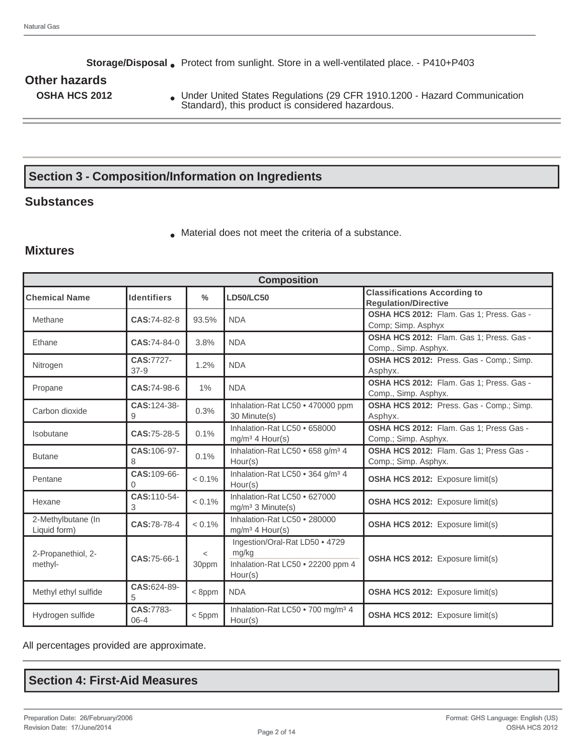**Storage/Disposal** ● Protect from sunlight. Store in a well-ventilated place. - P410+P403

# **Other hazards**

**OSHA HCS 2012** • Under United States Regulations (29 CFR 1910.1200 - Hazard Communication Standard), this product is considered hazardous.

# **Section 3 - Composition/Information on Ingredients**

## **Substances**

● Material does not meet the criteria of a substance.

### **Mixtures**

|                              |                    |               | <b>Composition</b>                            |                                          |
|------------------------------|--------------------|---------------|-----------------------------------------------|------------------------------------------|
| <b>Chemical Name</b>         | <b>Identifiers</b> | $\frac{0}{0}$ | <b>LD50/LC50</b>                              | <b>Classifications According to</b>      |
|                              |                    |               |                                               | <b>Regulation/Directive</b>              |
| Methane                      | CAS:74-82-8        | 93.5%         | <b>NDA</b>                                    | OSHA HCS 2012: Flam. Gas 1; Press. Gas - |
|                              |                    |               |                                               | Comp; Simp. Asphyx                       |
| Ethane                       | CAS:74-84-0        | 3.8%          | <b>NDA</b>                                    | OSHA HCS 2012: Flam. Gas 1; Press. Gas - |
|                              |                    |               |                                               | Comp., Simp. Asphyx.                     |
| Nitrogen                     | CAS:7727-          | 1.2%          | <b>NDA</b>                                    | OSHA HCS 2012: Press. Gas - Comp.; Simp. |
| $37-9$                       |                    |               |                                               | Asphyx.                                  |
| Propane                      | CAS:74-98-6        | 1%            | <b>NDA</b>                                    | OSHA HCS 2012: Flam. Gas 1; Press. Gas - |
|                              |                    |               |                                               | Comp., Simp. Asphyx.                     |
| Carbon dioxide               | CAS: 124-38-       | 0.3%          | Inhalation-Rat LC50 . 470000 ppm              | OSHA HCS 2012: Press. Gas - Comp.; Simp. |
| 9                            |                    |               | 30 Minute(s)                                  | Asphyx.                                  |
| Isobutane                    | CAS:75-28-5        | 0.1%          | Inhalation-Rat LC50 . 658000                  | OSHA HCS 2012: Flam. Gas 1; Press Gas -  |
|                              |                    |               | $mq/m3$ 4 Hour(s)                             | Comp.; Simp. Asphyx.                     |
| <b>Butane</b>                | CAS: 106-97-       | 0.1%          | Inhalation-Rat LC50 . 658 g/m <sup>3</sup> 4  | OSHA HCS 2012: Flam. Gas 1; Press Gas -  |
| 8                            |                    |               | Hour(s)                                       | Comp.; Simp. Asphyx.                     |
|                              | CAS: 109-66-       | $< 0.1\%$     | Inhalation-Rat LC50 . 364 g/m <sup>3</sup> 4  |                                          |
| Pentane<br>$\Omega$          |                    |               | Hour(s)                                       | <b>OSHA HCS 2012:</b> Exposure limit(s)  |
| Hexane                       | CAS:110-54-        | $< 0.1\%$     | Inhalation-Rat LC50 . 627000                  |                                          |
| 3                            |                    |               | mg/m <sup>3</sup> 3 Minute(s)                 | <b>OSHA HCS 2012:</b> Exposure limit(s)  |
| 2-Methylbutane (In           |                    |               | Inhalation-Rat LC50 . 280000                  |                                          |
| Liquid form)                 | CAS:78-78-4        | $< 0.1\%$     | $mg/m3$ 4 Hour(s)                             | OSHA HCS 2012: Exposure limit(s)         |
|                              |                    |               | Ingestion/Oral-Rat LD50 . 4729                |                                          |
| 2-Propanethiol, 2-           |                    | $\,<\,$       | mg/kg                                         |                                          |
| methyl-                      | CAS: 75-66-1       | 30ppm         | Inhalation-Rat LC50 . 22200 ppm 4             | <b>OSHA HCS 2012:</b> Exposure limit(s)  |
|                              |                    |               | Hour(s)                                       |                                          |
|                              | CAS:624-89-        |               |                                               |                                          |
| Methyl ethyl sulfide<br>5    |                    | $<$ 8ppm      | <b>NDA</b>                                    | <b>OSHA HCS 2012:</b> Exposure limit(s)  |
|                              | CAS:7783-          |               | Inhalation-Rat LC50 . 700 mg/m <sup>3</sup> 4 |                                          |
| Hydrogen sulfide<br>$06 - 4$ |                    | $<$ 5ppm      | Hour(s)                                       | OSHA HCS 2012: Exposure limit(s)         |

All percentages provided are approximate.

## **Section 4: First-Aid Measures**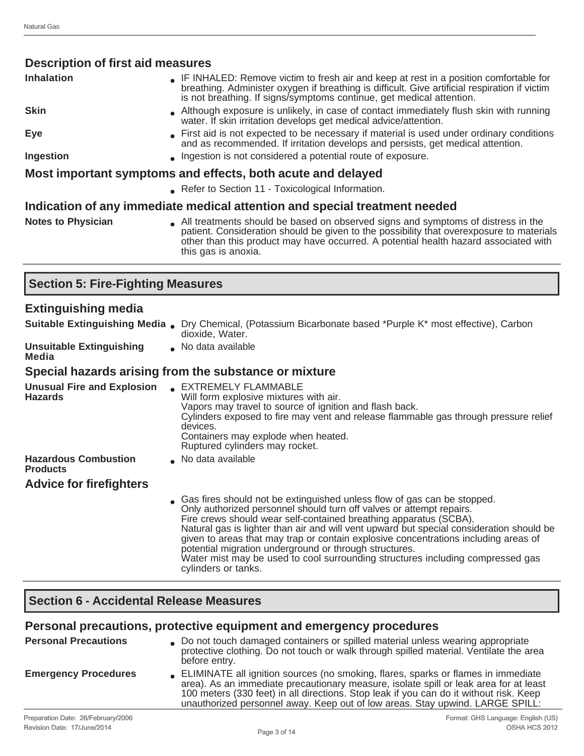| <b>Description of first aid measures</b>                    |                                                                                                                                                                                                                                                                                             |  |  |  |
|-------------------------------------------------------------|---------------------------------------------------------------------------------------------------------------------------------------------------------------------------------------------------------------------------------------------------------------------------------------------|--|--|--|
| <b>Inhalation</b>                                           | • IF INHALED: Remove victim to fresh air and keep at rest in a position comfortable for<br>breathing. Administer oxygen if breathing is difficult. Give artificial respiration if victim<br>is not breathing. If signs/symptoms continue, get medical attention.                            |  |  |  |
| <b>Skin</b>                                                 | Although exposure is unlikely, in case of contact immediately flush skin with running<br>water. If skin irritation develops get medical advice/attention.                                                                                                                                   |  |  |  |
| Eye                                                         | First aid is not expected to be necessary if material is used under ordinary conditions<br>and as recommended. If irritation develops and persists, get medical attention.                                                                                                                  |  |  |  |
| Ingestion                                                   | Ingestion is not considered a potential route of exposure.                                                                                                                                                                                                                                  |  |  |  |
| Most important symptoms and effects, both acute and delayed |                                                                                                                                                                                                                                                                                             |  |  |  |
|                                                             | • Refer to Section 11 - Toxicological Information.                                                                                                                                                                                                                                          |  |  |  |
|                                                             | Indication of any immediate medical attention and special treatment needed                                                                                                                                                                                                                  |  |  |  |
| <b>Notes to Physician</b>                                   | All treatments should be based on observed signs and symptoms of distress in the<br>patient. Consideration should be given to the possibility that overexposure to materials<br>other than this product may have occurred. A potential health hazard associated with<br>this gas is anoxia. |  |  |  |

# **Section 5: Fire-Fighting Measures**

## **Extinguishing media**

|                                                     | <b>Suitable Extinguishing Media.</b> Dry Chemical, (Potassium Bicarbonate based *Purple K* most effective), Carbon<br>dioxide, Water.                                                                                                                                                                                                                                                                                                                                                                                                                                        |
|-----------------------------------------------------|------------------------------------------------------------------------------------------------------------------------------------------------------------------------------------------------------------------------------------------------------------------------------------------------------------------------------------------------------------------------------------------------------------------------------------------------------------------------------------------------------------------------------------------------------------------------------|
| <b>Unsuitable Extinguishing</b><br>Media            | No data available                                                                                                                                                                                                                                                                                                                                                                                                                                                                                                                                                            |
|                                                     | Special hazards arising from the substance or mixture                                                                                                                                                                                                                                                                                                                                                                                                                                                                                                                        |
| <b>Unusual Fire and Explosion</b><br><b>Hazards</b> | <b>EXTREMELY FLAMMABLE</b><br>Will form explosive mixtures with air.<br>Vapors may travel to source of ignition and flash back.<br>Cylinders exposed to fire may vent and release flammable gas through pressure relief<br>devices.<br>Containers may explode when heated.<br>Ruptured cylinders may rocket.                                                                                                                                                                                                                                                                 |
| <b>Hazardous Combustion</b><br><b>Products</b>      | No data available                                                                                                                                                                                                                                                                                                                                                                                                                                                                                                                                                            |
| <b>Advice for firefighters</b>                      |                                                                                                                                                                                                                                                                                                                                                                                                                                                                                                                                                                              |
|                                                     | • Gas fires should not be extinguished unless flow of gas can be stopped.<br>Only authorized personnel should turn off valves or attempt repairs.<br>Fire crews should wear self-contained breathing apparatus (SCBA).<br>Natural gas is lighter than air and will vent upward but special consideration should be<br>given to areas that may trap or contain explosive concentrations including areas of<br>potential migration underground or through structures.<br>Water mist may be used to cool surrounding structures including compressed gas<br>cylinders or tanks. |

## **Section 6 - Accidental Release Measures**

## **Personal precautions, protective equipment and emergency procedures**

| <b>Personal Precautions</b> | . Do not touch damaged containers or spilled material unless wearing appropriate<br>protective clothing. Do not touch or walk through spilled material. Ventilate the area<br>before entry.                                                                                                                                                           |
|-----------------------------|-------------------------------------------------------------------------------------------------------------------------------------------------------------------------------------------------------------------------------------------------------------------------------------------------------------------------------------------------------|
| <b>Emergency Procedures</b> | ELIMINATE all ignition sources (no smoking, flares, sparks or flames in immediate<br>area). As an immediate precautionary measure, isolate spill or leak area for at least<br>100 meters (330 feet) in all directions. Stop leak if you can do it without risk. Keep<br>unauthorized personnel away. Keep out of low areas. Stay upwind. LARGE SPILL: |
|                             |                                                                                                                                                                                                                                                                                                                                                       |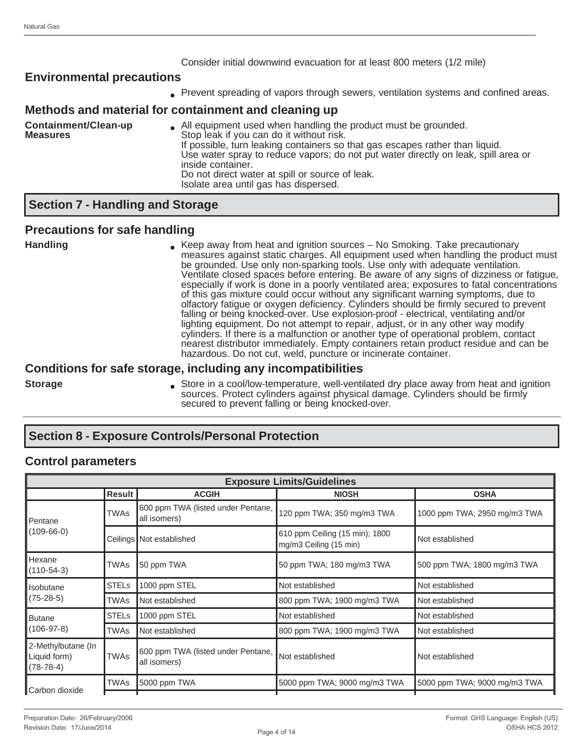#### Consider initial downwind evacuation for at least 800 meters (1/2 mile)

## **Environmental precautions**

• Prevent spreading of vapors through sewers, ventilation systems and confined areas.

#### **Methods and material for containment and cleaning up**

| Containment/Clean-up | . All equipment used when handling the product must be grounded.                                                                                                                        |
|----------------------|-----------------------------------------------------------------------------------------------------------------------------------------------------------------------------------------|
| <b>Measures</b>      | Stop leak if you can do it without risk.                                                                                                                                                |
|                      | If possible, turn leaking containers so that gas escapes rather than liquid.<br>Use water spray to reduce vapors; do not put water directly on leak, spill area or<br>inside container. |
|                      | Do not direct water at spill or source of leak.<br>Isolate area until gas has dispersed.                                                                                                |

## **Section 7 - Handling and Storage**

#### **Precautions for safe handling**

**Handling Example 20 Mandling Brandling C** Keep away from heat and ignition sources – No Smoking. Take precautionary measures against static charges. All equipment used when handling the product must be grounded. Use only non-sparking tools. Use only with adequate ventilation. Ventilate closed spaces before entering. Be aware of any signs of dizziness or fatigue, especially if work is done in a poorly ventilated area; exposures to fatal concentrations of this gas mixture could occur without any significant warning symptoms, due to olfactory fatigue or oxygen deficiency. Cylinders should be firmly secured to prevent falling or being knocked-over. Use explosion-proof - electrical, ventilating and/or lighting equipment. Do not attempt to repair, adjust, or in any other way modify cylinders. If there is a malfunction or another type of operational problem, contact nearest distributor immediately. Empty containers retain product residue and can be hazardous. Do not cut, weld, puncture or incinerate container.

### **Conditions for safe storage, including any incompatibilities**

**Storage External Accellence in a cool/low-temperature, well-ventilated dry place away from heat and ignition** sources. Protect cylinders against physical damage. Cylinders should be firmly secured to prevent falling or being knocked-over.

## **Section 8 - Exposure Controls/Personal Protection**

### **Control parameters**

| <b>Exposure Limits/Guidelines</b>                 |               |                                                    |                                                          |                              |  |
|---------------------------------------------------|---------------|----------------------------------------------------|----------------------------------------------------------|------------------------------|--|
|                                                   | <b>Result</b> | <b>ACGIH</b>                                       | <b>NIOSH</b>                                             | <b>OSHA</b>                  |  |
| TWAs<br><b>Pentane</b><br>$(109-66-0)$            |               | 600 ppm TWA (listed under Pentane,<br>all isomers) | 120 ppm TWA; 350 mg/m3 TWA                               | 1000 ppm TWA; 2950 mg/m3 TWA |  |
|                                                   |               | Ceilings   Not established                         | 610 ppm Ceiling (15 min); 1800<br>mg/m3 Ceiling (15 min) | Not established              |  |
| Hexane<br>$(110-54-3)$                            | TWAs          | 50 ppm TWA                                         | 50 ppm TWA; 180 mg/m3 TWA                                | 500 ppm TWA; 1800 mg/m3 TWA  |  |
| Ilsobutane<br>$(75-28-5)$                         | <b>STELs</b>  | 1000 ppm STEL                                      | Not established                                          | Not established              |  |
|                                                   | TWAs          | Not established                                    | 800 ppm TWA; 1900 mg/m3 TWA                              | Not established              |  |
| Butane                                            | <b>STELs</b>  | 1000 ppm STEL                                      | Not established                                          | Not established              |  |
| $(106-97-8)$                                      | TWAs          | Not established                                    | 800 ppm TWA; 1900 mg/m3 TWA                              | Not established              |  |
| 2-Methylbutane (In<br>Liquid form)<br>$(78-78-4)$ | <b>TWAs</b>   | 600 ppm TWA (listed under Pentane,<br>all isomers) | Not established                                          | Not established              |  |
|                                                   | TWAs          | 5000 ppm TWA                                       | 5000 ppm TWA; 9000 mg/m3 TWA                             | 5000 ppm TWA; 9000 mg/m3 TWA |  |
| Carbon dioxide                                    |               |                                                    |                                                          |                              |  |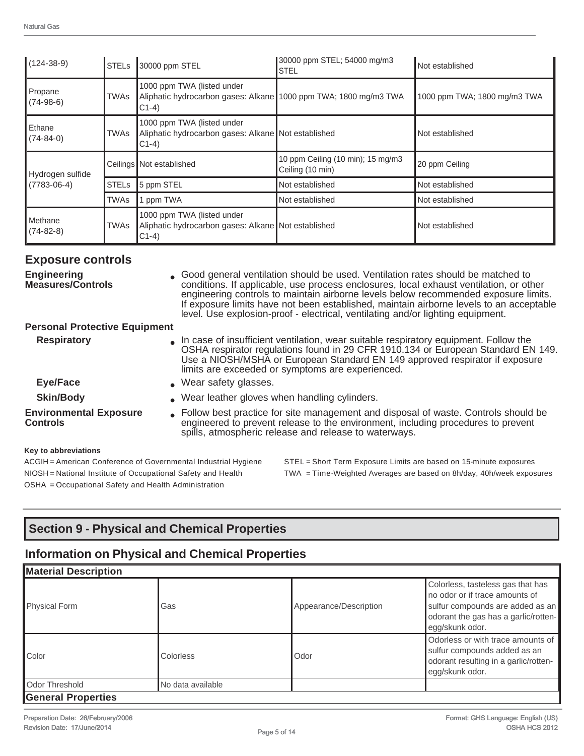| $(124-38-9)$              | <b>STELS</b> | 30000 ppm STEL                                                                                            | 30000 ppm STEL; 54000 mg/m3<br><b>STEL</b>            | Not established              |
|---------------------------|--------------|-----------------------------------------------------------------------------------------------------------|-------------------------------------------------------|------------------------------|
| Propane<br>$(74-98-6)$    | <b>TWAs</b>  | 1000 ppm TWA (listed under<br>Aliphatic hydrocarbon gases: Alkane 1000 ppm TWA; 1800 mg/m3 TWA<br>$C1-4)$ |                                                       | 1000 ppm TWA; 1800 mg/m3 TWA |
| Ethane<br>$(74 - 84 - 0)$ | TWAs         | 1000 ppm TWA (listed under<br>Aliphatic hydrocarbon gases: Alkane Not established<br>$C1-4)$              |                                                       | Not established              |
| Hydrogen sulfide          |              | Ceilings   Not established                                                                                | 10 ppm Ceiling (10 min); 15 mg/m3<br>Ceiling (10 min) | 20 ppm Ceiling               |
| $(7783 - 06 - 4)$         | <b>STELs</b> | 5 ppm STEL                                                                                                | Not established                                       | Not established              |
|                           | <b>TWAs</b>  | ppm TWA                                                                                                   | Not established                                       | Not established              |
| Methane<br>$(74-82-8)$    | TWAs         | 1000 ppm TWA (listed under<br>Aliphatic hydrocarbon gases: Alkane Not established<br>$C1-4)$              |                                                       | Not established              |

### **Exposure controls**

| <b>Engineering</b><br><b>Measures/Controls</b>   | • Good general ventilation should be used. Ventilation rates should be matched to<br>conditions. If applicable, use process enclosures, local exhaust ventilation, or other<br>engineering controls to maintain airborne levels below recommended exposure limits.<br>If exposure limits have not been established, maintain airborne levels to an acceptable<br>level. Use explosion-proof - electrical, ventilating and/or lighting equipment. |
|--------------------------------------------------|--------------------------------------------------------------------------------------------------------------------------------------------------------------------------------------------------------------------------------------------------------------------------------------------------------------------------------------------------------------------------------------------------------------------------------------------------|
| <b>Personal Protective Equipment</b>             |                                                                                                                                                                                                                                                                                                                                                                                                                                                  |
| <b>Respiratory</b>                               | In case of insufficient ventilation, wear suitable respiratory equipment. Follow the<br>OSHA respirator regulations found in 29 CFR 1910.134 or European Standard EN 149.<br>Use a NIOSH/MSHA or European Standard EN 149 approved respirator if exposure<br>limits are exceeded or symptoms are experienced.                                                                                                                                    |
| <b>Eye/Face</b>                                  | . Wear safety glasses.                                                                                                                                                                                                                                                                                                                                                                                                                           |
| <b>Skin/Body</b>                                 | . Wear leather gloves when handling cylinders.                                                                                                                                                                                                                                                                                                                                                                                                   |
| <b>Environmental Exposure</b><br><b>Controls</b> | • Follow best practice for site management and disposal of waste. Controls should be<br>engineered to prevent release to the environment, including procedures to prevent<br>spills, atmospheric release and release to waterways.                                                                                                                                                                                                               |
|                                                  |                                                                                                                                                                                                                                                                                                                                                                                                                                                  |

#### **Key to abbreviations**

OSHA = Occupational Safety and Health Administration

ACGIH = American Conference of Governmental Industrial Hygiene STEL = Short Term Exposure Limits are based on 15-minute exposures NIOSH = National Institute of Occupational Safety and Health TWA = Time-Weighted Averages are based on 8h/day, 40h/week exposures

# **Section 9 - Physical and Chemical Properties**

# **Information on Physical and Chemical Properties**

| <b>Material Description</b> |                   |                        |                                                                                                                                                                    |
|-----------------------------|-------------------|------------------------|--------------------------------------------------------------------------------------------------------------------------------------------------------------------|
| Physical Form               | Gas               | Appearance/Description | Colorless, tasteless gas that has<br>no odor or if trace amounts of<br>sulfur compounds are added as an<br>odorant the gas has a garlic/rotten-<br>egg/skunk odor. |
| <b>Color</b>                | Colorless         | Odor                   | Odorless or with trace amounts of<br>sulfur compounds added as an<br>odorant resulting in a garlic/rotten-<br>egg/skunk odor.                                      |
| Odor Threshold              | No data available |                        |                                                                                                                                                                    |
| <b>General Properties</b>   |                   |                        |                                                                                                                                                                    |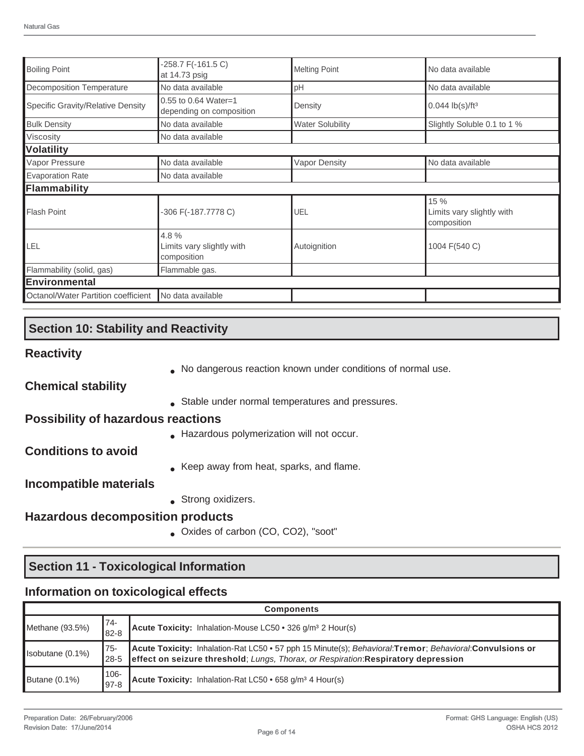| <b>Boiling Point</b>                | -258.7 F(-161.5 C)<br>at 14.73 psig              | <b>Melting Point</b>    | No data available                                |
|-------------------------------------|--------------------------------------------------|-------------------------|--------------------------------------------------|
| <b>Decomposition Temperature</b>    | No data available                                | pH                      | No data available                                |
| Specific Gravity/Relative Density   | 0.55 to 0.64 Water=1<br>depending on composition | Density                 | $0.044$ lb(s)/ft <sup>3</sup>                    |
| <b>Bulk Density</b>                 | No data available                                | <b>Water Solubility</b> | Slightly Soluble 0.1 to 1 %                      |
| Viscosity                           | No data available                                |                         |                                                  |
| <b>Volatility</b>                   |                                                  |                         |                                                  |
| Vapor Pressure                      | No data available                                | <b>Vapor Density</b>    | No data available                                |
| <b>Evaporation Rate</b>             | No data available                                |                         |                                                  |
| Flammability                        |                                                  |                         |                                                  |
| Flash Point                         | -306 F(-187.7778 C)                              | UEL                     | 15 %<br>Limits vary slightly with<br>composition |
| LEL                                 | 4.8%<br>Limits vary slightly with<br>composition | Autoignition            | 1004 F(540 C)                                    |
| Flammability (solid, gas)           | Flammable gas.                                   |                         |                                                  |
| <b>Environmental</b>                |                                                  |                         |                                                  |
| Octanol/Water Partition coefficient | No data available                                |                         |                                                  |

## **Section 10: Stability and Reactivity**

## **Reactivity**

● No dangerous reaction known under conditions of normal use.

**Chemical stability**

• Stable under normal temperatures and pressures.

#### **Possibility of hazardous reactions**

● Hazardous polymerization will not occur.

## **Conditions to avoid**

• Keep away from heat, sparks, and flame.

## **Incompatible materials**

• Strong oxidizers.

## **Hazardous decomposition products**

● Oxides of carbon (CO, CO2), "soot"

# **Section 11 - Toxicological Information**

### **Information on toxicological effects**

| <b>Components</b> |                     |                                                                                                                                                                                               |  |
|-------------------|---------------------|-----------------------------------------------------------------------------------------------------------------------------------------------------------------------------------------------|--|
| Methane (93.5%)   | 74-<br>$82 - 8$     | Acute Toxicity: Inhalation-Mouse LC50 • 326 g/m <sup>3</sup> 2 Hour(s)                                                                                                                        |  |
| Isobutane (0.1%)  | $75 -$<br>$28 - 5$  | Acute Toxicity: Inhalation-Rat LC50 • 57 pph 15 Minute(s); Behavioral:Tremor; Behavioral:Convulsions or<br>effect on seizure threshold; Lungs, Thorax, or Respiration: Respiratory depression |  |
| Butane (0.1%)     | $106 -$<br>$97 - 8$ | Acute Toxicity: Inhalation-Rat LC50 · 658 g/m <sup>3</sup> 4 Hour(s)                                                                                                                          |  |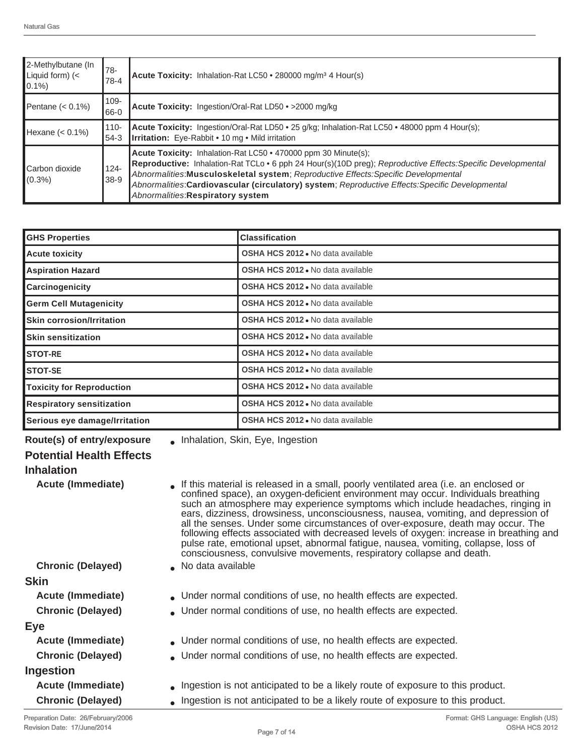| 2-Methylbutane (In<br>Liquid form) (<<br>$ 0.1\% $ | 78-<br>$78-4$   | Acute Toxicity: Inhalation-Rat LC50 • 280000 mg/m <sup>3</sup> 4 Hour(s)                                                                                                                                                                                                                                                                                                                                       |
|----------------------------------------------------|-----------------|----------------------------------------------------------------------------------------------------------------------------------------------------------------------------------------------------------------------------------------------------------------------------------------------------------------------------------------------------------------------------------------------------------------|
| Pentane $(0.1\%)$                                  | 109-<br>66-0    | Acute Toxicity: Ingestion/Oral-Rat LD50 · > 2000 mg/kg                                                                                                                                                                                                                                                                                                                                                         |
| Hexane $(< 0.1\%)$                                 | 110-<br>$54-3$  | Acute Toxicity: Ingestion/Oral-Rat LD50 • 25 g/kg; Inhalation-Rat LC50 • 48000 ppm 4 Hour(s);<br><b>Irritation:</b> Eye-Rabbit • 10 mg • Mild irritation                                                                                                                                                                                                                                                       |
| Carbon dioxide<br>$(0.3\%)$                        | $124 -$<br>38-9 | Acute Toxicity: Inhalation-Rat LC50 • 470000 ppm 30 Minute(s);<br>Reproductive: Inhalation-Rat TCLo . 6 pph 24 Hour(s)(10D preg); Reproductive Effects: Specific Developmental<br>Abnormalities: Musculoskeletal system; Reproductive Effects: Specific Developmental<br>Abnormalities: Cardiovascular (circulatory) system; Reproductive Effects: Specific Developmental<br>Abnormalities: Respiratory system |

| <b>GHS Properties</b>            | <b>Classification</b>                    |
|----------------------------------|------------------------------------------|
| <b>Acute toxicity</b>            | OSHA HCS 2012 . No data available        |
| <b>Aspiration Hazard</b>         | OSHA HCS 2012 . No data available        |
| Carcinogenicity                  | OSHA HCS 2012 . No data available        |
| <b>Germ Cell Mutagenicity</b>    | <b>OSHA HCS 2012</b> • No data available |
| <b>Skin corrosion/Irritation</b> | OSHA HCS 2012 . No data available        |
| <b>Skin sensitization</b>        | <b>OSHA HCS 2012</b> . No data available |
| <b>STOT-RE</b>                   | OSHA HCS 2012 . No data available        |
| <b>STOT-SE</b>                   | OSHA HCS 2012 . No data available        |
| <b>Toxicity for Reproduction</b> | <b>OSHA HCS 2012</b> . No data available |
| <b>Respiratory sensitization</b> | <b>OSHA HCS 2012</b> • No data available |
| Serious eye damage/Irritation    | <b>OSHA HCS 2012</b> • No data available |

| <b>Acute (Immediate)</b><br>If this material is released in a small, poorly ventilated area (i.e. an enclosed or<br>confined space), an oxygen-deficient environment may occur. Individuals breathing<br>such an atmosphere may experience symptoms which include headaches, ringing in<br>ears, dizziness, drowsiness, unconsciousness, nausea, vomiting, and depression of<br>all the senses. Under some circumstances of over-exposure, death may occur. The<br>following effects associated with decreased levels of oxygen: increase in breathing and<br>pulse rate, emotional upset, abnormal fatigue, nausea, vomiting, collapse, loss of<br>consciousness, convulsive movements, respiratory collapse and death.<br><b>Chronic (Delayed)</b><br>No data available<br><b>Acute (Immediate)</b><br>. Under normal conditions of use, no health effects are expected.<br><b>Chronic (Delayed)</b><br>• Under normal conditions of use, no health effects are expected.<br>Acute (Immediate)<br>• Under normal conditions of use, no health effects are expected.<br><b>Chronic (Delayed)</b><br>• Under normal conditions of use, no health effects are expected.<br><b>Acute (Immediate)</b><br>. Ingestion is not anticipated to be a likely route of exposure to this product.<br><b>Chronic (Delayed)</b><br>. Ingestion is not anticipated to be a likely route of exposure to this product. | Route(s) of entry/exposure      | . Inhalation, Skin, Eye, Ingestion |
|--------------------------------------------------------------------------------------------------------------------------------------------------------------------------------------------------------------------------------------------------------------------------------------------------------------------------------------------------------------------------------------------------------------------------------------------------------------------------------------------------------------------------------------------------------------------------------------------------------------------------------------------------------------------------------------------------------------------------------------------------------------------------------------------------------------------------------------------------------------------------------------------------------------------------------------------------------------------------------------------------------------------------------------------------------------------------------------------------------------------------------------------------------------------------------------------------------------------------------------------------------------------------------------------------------------------------------------------------------------------------------------------------------|---------------------------------|------------------------------------|
|                                                                                                                                                                                                                                                                                                                                                                                                                                                                                                                                                                                                                                                                                                                                                                                                                                                                                                                                                                                                                                                                                                                                                                                                                                                                                                                                                                                                        | <b>Potential Health Effects</b> |                                    |
|                                                                                                                                                                                                                                                                                                                                                                                                                                                                                                                                                                                                                                                                                                                                                                                                                                                                                                                                                                                                                                                                                                                                                                                                                                                                                                                                                                                                        | <b>Inhalation</b>               |                                    |
|                                                                                                                                                                                                                                                                                                                                                                                                                                                                                                                                                                                                                                                                                                                                                                                                                                                                                                                                                                                                                                                                                                                                                                                                                                                                                                                                                                                                        |                                 |                                    |
|                                                                                                                                                                                                                                                                                                                                                                                                                                                                                                                                                                                                                                                                                                                                                                                                                                                                                                                                                                                                                                                                                                                                                                                                                                                                                                                                                                                                        |                                 |                                    |
|                                                                                                                                                                                                                                                                                                                                                                                                                                                                                                                                                                                                                                                                                                                                                                                                                                                                                                                                                                                                                                                                                                                                                                                                                                                                                                                                                                                                        | <b>Skin</b>                     |                                    |
|                                                                                                                                                                                                                                                                                                                                                                                                                                                                                                                                                                                                                                                                                                                                                                                                                                                                                                                                                                                                                                                                                                                                                                                                                                                                                                                                                                                                        |                                 |                                    |
|                                                                                                                                                                                                                                                                                                                                                                                                                                                                                                                                                                                                                                                                                                                                                                                                                                                                                                                                                                                                                                                                                                                                                                                                                                                                                                                                                                                                        |                                 |                                    |
|                                                                                                                                                                                                                                                                                                                                                                                                                                                                                                                                                                                                                                                                                                                                                                                                                                                                                                                                                                                                                                                                                                                                                                                                                                                                                                                                                                                                        | Eye                             |                                    |
|                                                                                                                                                                                                                                                                                                                                                                                                                                                                                                                                                                                                                                                                                                                                                                                                                                                                                                                                                                                                                                                                                                                                                                                                                                                                                                                                                                                                        |                                 |                                    |
|                                                                                                                                                                                                                                                                                                                                                                                                                                                                                                                                                                                                                                                                                                                                                                                                                                                                                                                                                                                                                                                                                                                                                                                                                                                                                                                                                                                                        |                                 |                                    |
|                                                                                                                                                                                                                                                                                                                                                                                                                                                                                                                                                                                                                                                                                                                                                                                                                                                                                                                                                                                                                                                                                                                                                                                                                                                                                                                                                                                                        | Ingestion                       |                                    |
|                                                                                                                                                                                                                                                                                                                                                                                                                                                                                                                                                                                                                                                                                                                                                                                                                                                                                                                                                                                                                                                                                                                                                                                                                                                                                                                                                                                                        |                                 |                                    |
|                                                                                                                                                                                                                                                                                                                                                                                                                                                                                                                                                                                                                                                                                                                                                                                                                                                                                                                                                                                                                                                                                                                                                                                                                                                                                                                                                                                                        |                                 |                                    |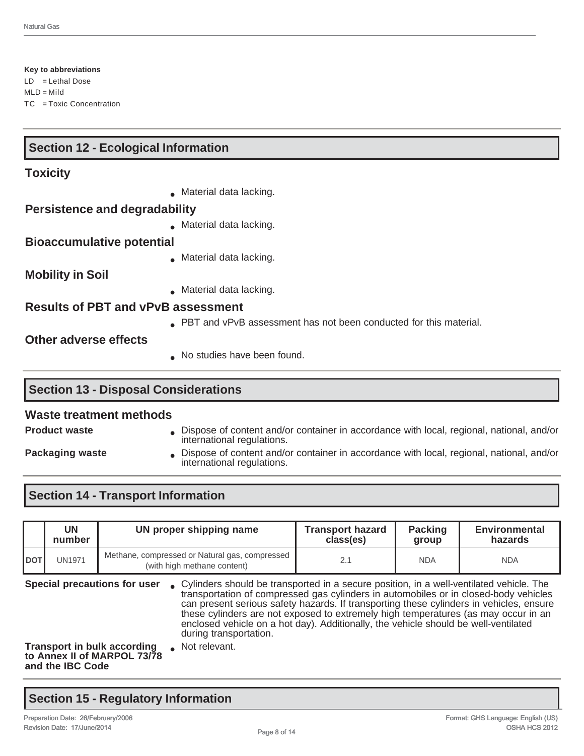**Key to abbreviations** LD = Lethal Dose  $MLD =$ Mild TC = Toxic Concentration

## **Section 12 - Ecological Information**

#### **Toxicity**

• Material data lacking.

#### **Persistence and degradability**

 $\bullet$  Material data lacking.

#### **Bioaccumulative potential**

● Material data lacking.

**Mobility in Soil**

● Material data lacking.

#### **Results of PBT and vPvB assessment**

**PBT** and vPvB assessment has not been conducted for this material.

#### **Other adverse effects**

• No studies have been found.

## **Section 13 - Disposal Considerations**

#### **Waste treatment methods**

- **Product waste Dispose of content and/or container in accordance with local, regional, national, and/or container in accordance with local, regional, national, and/or** international regulations.
- 
- 
- **Packaging waste Dispose of content and/or container in accordance with local, regional, national, and/or container in accordance with local, regional, national, and/or** international regulations.

## **Section 14 - Transport Information**

|                                                                                       | <b>UN</b><br>number | UN proper shipping name                                                       |  | <b>Transport hazard</b><br>class(es)                                                                                                                                                                                                                                                                                                                                                                                                                      | <b>Packing</b><br>group | <b>Environmental</b><br>hazards |
|---------------------------------------------------------------------------------------|---------------------|-------------------------------------------------------------------------------|--|-----------------------------------------------------------------------------------------------------------------------------------------------------------------------------------------------------------------------------------------------------------------------------------------------------------------------------------------------------------------------------------------------------------------------------------------------------------|-------------------------|---------------------------------|
| <b>IDOT</b>                                                                           | <b>UN1971</b>       | Methane, compressed or Natural gas, compressed<br>(with high methane content) |  | 2.1                                                                                                                                                                                                                                                                                                                                                                                                                                                       | <b>NDA</b>              | <b>NDA</b>                      |
| Special precautions for user                                                          |                     | during transportation.                                                        |  | • Cylinders should be transported in a secure position, in a well-ventilated vehicle. The<br>transportation of compressed gas cylinders in automobiles or in closed-body vehicles<br>can present serious safety hazards. If transporting these cylinders in vehicles, ensure<br>these cylinders are not exposed to extremely high temperatures (as may occur in an<br>enclosed vehicle on a hot day). Additionally, the vehicle should be well-ventilated |                         |                                 |
| <b>Transport in bulk according</b><br>to Annex II of MARPOL 73/78<br>and the IBC Code |                     | Not relevant.                                                                 |  |                                                                                                                                                                                                                                                                                                                                                                                                                                                           |                         |                                 |

## **Section 15 - Regulatory Information**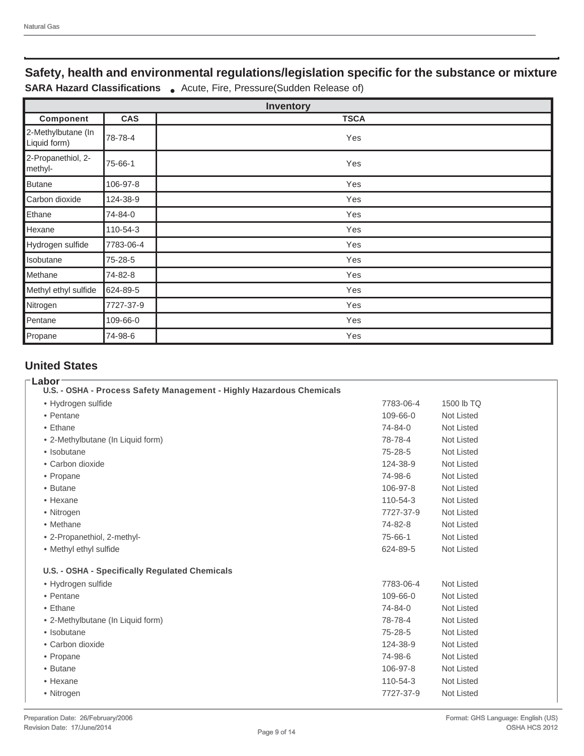# **Safety, health and environmental regulations/legislation specific for the substance or mixture**

**SARA Hazard Classifications** . Acute, Fire, Pressure(Sudden Release of)

| <b>Inventory</b>                   |            |             |  |  |  |
|------------------------------------|------------|-------------|--|--|--|
| Component                          | <b>CAS</b> | <b>TSCA</b> |  |  |  |
| 2-Methylbutane (In<br>Liquid form) | 78-78-4    | Yes         |  |  |  |
| 2-Propanethiol, 2-<br>methyl-      | 75-66-1    | Yes         |  |  |  |
| <b>Butane</b>                      | 106-97-8   | Yes         |  |  |  |
| Carbon dioxide                     | 124-38-9   | Yes         |  |  |  |
| Ethane                             | 74-84-0    | Yes         |  |  |  |
| Hexane                             | 110-54-3   | Yes         |  |  |  |
| Hydrogen sulfide                   | 7783-06-4  | Yes         |  |  |  |
| Isobutane                          | 75-28-5    | Yes         |  |  |  |
| Methane                            | 74-82-8    | Yes         |  |  |  |
| Methyl ethyl sulfide               | 624-89-5   | Yes         |  |  |  |
| Nitrogen                           | 7727-37-9  | Yes         |  |  |  |
| Pentane                            | 109-66-0   | Yes         |  |  |  |
| Propane                            | 74-98-6    | Yes         |  |  |  |

## **United States**

| Labor<br>U.S. - OSHA - Process Safety Management - Highly Hazardous Chemicals |           |                   |
|-------------------------------------------------------------------------------|-----------|-------------------|
| • Hydrogen sulfide                                                            | 7783-06-4 | 1500 lb TQ        |
| • Pentane                                                                     | 109-66-0  | <b>Not Listed</b> |
| • Ethane                                                                      | 74-84-0   | <b>Not Listed</b> |
| • 2-Methylbutane (In Liquid form)                                             | 78-78-4   | <b>Not Listed</b> |
| • Isobutane                                                                   | 75-28-5   | <b>Not Listed</b> |
| • Carbon dioxide                                                              | 124-38-9  | <b>Not Listed</b> |
| • Propane                                                                     | 74-98-6   | Not Listed        |
| • Butane                                                                      | 106-97-8  | <b>Not Listed</b> |
| • Hexane                                                                      | 110-54-3  | <b>Not Listed</b> |
| • Nitrogen                                                                    | 7727-37-9 | <b>Not Listed</b> |
| • Methane                                                                     | 74-82-8   | <b>Not Listed</b> |
| • 2-Propanethiol, 2-methyl-                                                   | 75-66-1   | <b>Not Listed</b> |
| • Methyl ethyl sulfide                                                        | 624-89-5  | Not Listed        |
| U.S. - OSHA - Specifically Regulated Chemicals                                |           |                   |
| · Hydrogen sulfide                                                            | 7783-06-4 | <b>Not Listed</b> |
| • Pentane                                                                     | 109-66-0  | <b>Not Listed</b> |
| • Ethane                                                                      | 74-84-0   | <b>Not Listed</b> |
| • 2-Methylbutane (In Liquid form)                                             | 78-78-4   | <b>Not Listed</b> |
| • Isobutane                                                                   | 75-28-5   | <b>Not Listed</b> |
| • Carbon dioxide                                                              | 124-38-9  | <b>Not Listed</b> |
| • Propane                                                                     | 74-98-6   | <b>Not Listed</b> |
| • Butane                                                                      | 106-97-8  | Not Listed        |
| • Hexane                                                                      | 110-54-3  | <b>Not Listed</b> |
| • Nitrogen                                                                    | 7727-37-9 | <b>Not Listed</b> |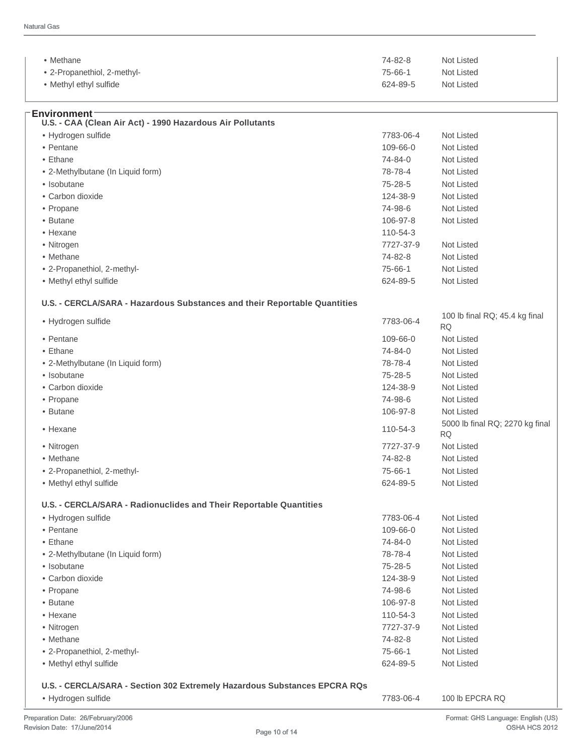**Environment**

| $\bullet$ Methane           | 74-82-8  | Not Listed |  |
|-----------------------------|----------|------------|--|
| • 2-Propanethiol, 2-methyl- | 75-66-1  | Not Listed |  |
| • Methyl ethyl sulfide      | 624-89-5 | Not Listed |  |

| U.S. - CAA (Clean Air Act) - 1990 Hazardous Air Pollutants                |           |                                              |
|---------------------------------------------------------------------------|-----------|----------------------------------------------|
| · Hydrogen sulfide                                                        | 7783-06-4 | Not Listed                                   |
| • Pentane                                                                 | 109-66-0  | Not Listed                                   |
| • Ethane                                                                  | 74-84-0   | Not Listed                                   |
| • 2-Methylbutane (In Liquid form)                                         | 78-78-4   | Not Listed                                   |
| • Isobutane                                                               | 75-28-5   | Not Listed                                   |
| • Carbon dioxide                                                          | 124-38-9  | Not Listed                                   |
| • Propane                                                                 | 74-98-6   | Not Listed                                   |
| • Butane                                                                  | 106-97-8  | Not Listed                                   |
| • Hexane                                                                  | 110-54-3  |                                              |
| • Nitrogen                                                                | 7727-37-9 | Not Listed                                   |
| • Methane                                                                 | 74-82-8   | <b>Not Listed</b>                            |
| • 2-Propanethiol, 2-methyl-                                               | 75-66-1   | Not Listed                                   |
| • Methyl ethyl sulfide                                                    | 624-89-5  | Not Listed                                   |
|                                                                           |           |                                              |
| U.S. - CERCLA/SARA - Hazardous Substances and their Reportable Quantities |           |                                              |
| · Hydrogen sulfide                                                        | 7783-06-4 | 100 lb final RQ; 45.4 kg final<br><b>RQ</b>  |
| • Pentane                                                                 | 109-66-0  | <b>Not Listed</b>                            |
| • Ethane                                                                  | 74-84-0   | Not Listed                                   |
| • 2-Methylbutane (In Liquid form)                                         | 78-78-4   | <b>Not Listed</b>                            |
| • Isobutane                                                               | 75-28-5   | Not Listed                                   |
| • Carbon dioxide                                                          | 124-38-9  | Not Listed                                   |
| • Propane                                                                 | 74-98-6   | Not Listed                                   |
| • Butane                                                                  | 106-97-8  | Not Listed                                   |
| • Hexane                                                                  | 110-54-3  | 5000 lb final RQ; 2270 kg final<br><b>RQ</b> |
| • Nitrogen                                                                | 7727-37-9 | Not Listed                                   |
| • Methane                                                                 | 74-82-8   | Not Listed                                   |
| • 2-Propanethiol, 2-methyl-                                               | 75-66-1   | Not Listed                                   |
| • Methyl ethyl sulfide                                                    | 624-89-5  | Not Listed                                   |
| U.S. - CERCLA/SARA - Radionuclides and Their Reportable Quantities        |           |                                              |
| · Hydrogen sulfide                                                        | 7783-06-4 | Not Listed                                   |
| • Pentane                                                                 | 109-66-0  | Not Listed                                   |
| • Ethane                                                                  | 74-84-0   | Not Listed                                   |
| • 2-Methylbutane (In Liquid form)                                         | 78-78-4   | Not Listed                                   |
| • Isobutane                                                               | 75-28-5   | Not Listed                                   |
| · Carbon dioxide                                                          | 124-38-9  | Not Listed                                   |
| • Propane                                                                 | 74-98-6   | Not Listed                                   |
| • Butane                                                                  | 106-97-8  | Not Listed                                   |
| • Hexane                                                                  | 110-54-3  | Not Listed                                   |
| • Nitrogen                                                                | 7727-37-9 | Not Listed                                   |
| • Methane                                                                 |           |                                              |
|                                                                           | 74-82-8   | Not Listed                                   |
| • 2-Propanethiol, 2-methyl-                                               | 75-66-1   | Not Listed                                   |
| • Methyl ethyl sulfide                                                    | 624-89-5  | Not Listed                                   |

#### **U.S. - CERCLA/SARA - Section 302 Extremely Hazardous Substances EPCRA RQs**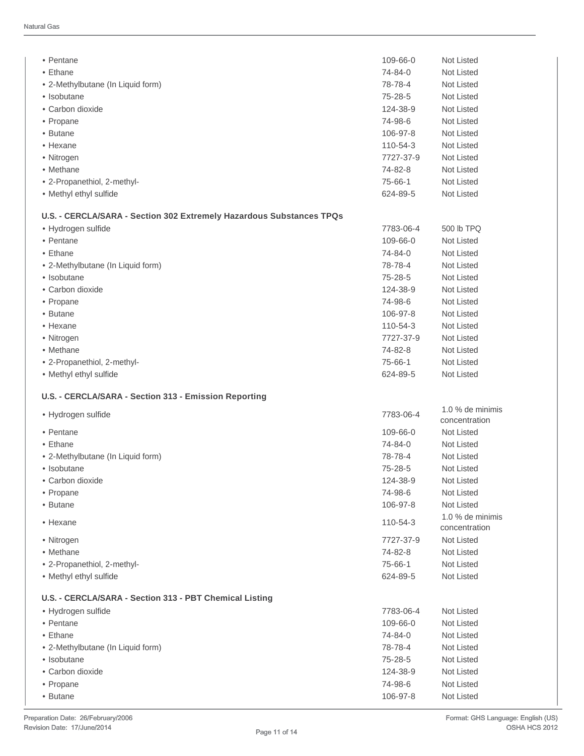| • Pentane                                                            | 109-66-0            | Not Listed                        |
|----------------------------------------------------------------------|---------------------|-----------------------------------|
| $\bullet$ Ethane                                                     | 74-84-0             | Not Listed                        |
| • 2-Methylbutane (In Liquid form)                                    | 78-78-4             | Not Listed                        |
| • Isobutane                                                          | $75 - 28 - 5$       | <b>Not Listed</b>                 |
| • Carbon dioxide                                                     | 124-38-9            | Not Listed                        |
| • Propane                                                            | 74-98-6             | Not Listed                        |
| • Butane                                                             | 106-97-8            | Not Listed                        |
| • Hexane                                                             | 110-54-3            | Not Listed                        |
| • Nitrogen                                                           | 7727-37-9           | Not Listed                        |
| • Methane                                                            | 74-82-8             | <b>Not Listed</b>                 |
| • 2-Propanethiol, 2-methyl-                                          | 75-66-1             | Not Listed                        |
| • Methyl ethyl sulfide                                               | 624-89-5            | Not Listed                        |
|                                                                      |                     |                                   |
| U.S. - CERCLA/SARA - Section 302 Extremely Hazardous Substances TPQs |                     |                                   |
| • Hydrogen sulfide                                                   | 7783-06-4           | 500 lb TPQ                        |
| • Pentane                                                            | 109-66-0            | Not Listed                        |
| $\bullet$ Ethane                                                     | 74-84-0             | Not Listed                        |
| • 2-Methylbutane (In Liquid form)                                    | 78-78-4             | Not Listed                        |
| • Isobutane                                                          | 75-28-5             | Not Listed                        |
| • Carbon dioxide                                                     | 124-38-9            | Not Listed                        |
| • Propane                                                            | 74-98-6             | <b>Not Listed</b>                 |
| • Butane                                                             | 106-97-8            | Not Listed                        |
| • Hexane                                                             | 110-54-3            | <b>Not Listed</b>                 |
| • Nitrogen                                                           | 7727-37-9           | Not Listed                        |
| • Methane                                                            | 74-82-8             | Not Listed                        |
| • 2-Propanethiol, 2-methyl-                                          | 75-66-1             | Not Listed                        |
|                                                                      |                     |                                   |
| • Methyl ethyl sulfide                                               | 624-89-5            | Not Listed                        |
| U.S. - CERCLA/SARA - Section 313 - Emission Reporting                |                     |                                   |
|                                                                      | 7783-06-4           | 1.0 % de minimis                  |
| • Hydrogen sulfide                                                   |                     | concentration                     |
| • Pentane                                                            | 109-66-0            | Not Listed                        |
| $\bullet$ Ethane                                                     | 74-84-0             | <b>Not Listed</b>                 |
| • 2-Methylbutane (In Liquid form)                                    | 78-78-4             | Not Listed                        |
| • Isobutane                                                          | 75-28-5             | <b>Not Listed</b>                 |
| • Carbon dioxide                                                     | 124-38-9            | Not Listed                        |
| • Propane                                                            | 74-98-6             | Not Listed                        |
| • Butane                                                             | 106-97-8            | Not Listed                        |
| • Hexane                                                             | 110-54-3            | 1.0 % de minimis<br>concentration |
| • Nitrogen                                                           | 7727-37-9           | Not Listed                        |
| • Methane                                                            | 74-82-8             | Not Listed                        |
| • 2-Propanethiol, 2-methyl-                                          | 75-66-1             | Not Listed                        |
| • Methyl ethyl sulfide                                               | 624-89-5            | Not Listed                        |
|                                                                      |                     |                                   |
| U.S. - CERCLA/SARA - Section 313 - PBT Chemical Listing              |                     |                                   |
| • Hydrogen sulfide                                                   | 7783-06-4           | Not Listed                        |
| • Pentane                                                            | 109-66-0            | Not Listed                        |
| • Ethane                                                             | 74-84-0             | Not Listed                        |
| • 2-Methylbutane (In Liquid form)                                    | 78-78-4             | Not Listed                        |
| • Isobutane                                                          | 75-28-5             | Not Listed                        |
| • Carbon dioxide                                                     | 124-38-9            | Not Listed                        |
| • Propane<br>• Butane                                                | 74-98-6<br>106-97-8 | Not Listed<br>Not Listed          |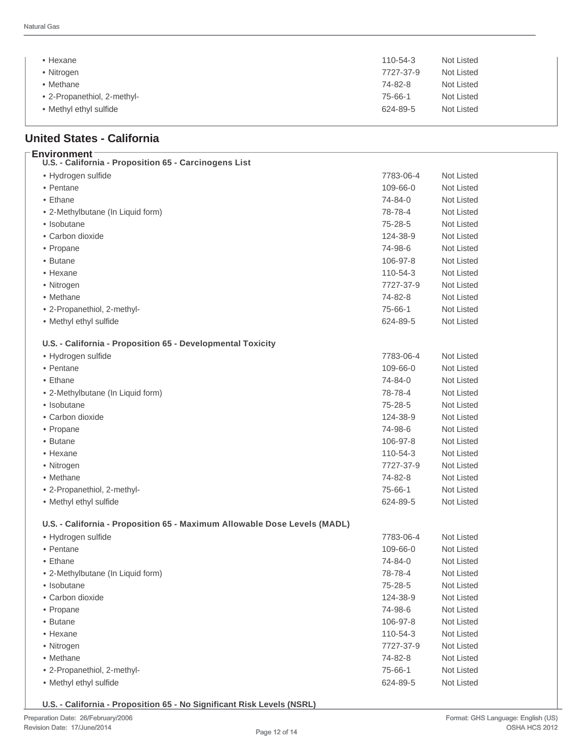| $\bullet$ Hexane            | Not Listed<br>$110 - 54 - 3$ |
|-----------------------------|------------------------------|
| • Nitrogen                  | Not Listed<br>7727-37-9      |
| • Methane                   | Not Listed<br>74-82-8        |
| • 2-Propanethiol, 2-methyl- | Not Listed<br>$75 - 66 - 1$  |
| • Methyl ethyl sulfide      | Not Listed<br>624-89-5       |
|                             |                              |

# **United States - California**

**Environment**

| Environment<br>U.S. - California - Proposition 65 - Carcinogens List      |               |                   |
|---------------------------------------------------------------------------|---------------|-------------------|
| • Hydrogen sulfide                                                        | 7783-06-4     | Not Listed        |
| • Pentane                                                                 | 109-66-0      | Not Listed        |
| • Ethane                                                                  | 74-84-0       | Not Listed        |
| • 2-Methylbutane (In Liquid form)                                         | 78-78-4       | Not Listed        |
| • Isobutane                                                               | $75 - 28 - 5$ | Not Listed        |
| • Carbon dioxide                                                          | 124-38-9      | Not Listed        |
| • Propane                                                                 | 74-98-6       | Not Listed        |
| • Butane                                                                  | 106-97-8      | Not Listed        |
| $\bullet$ Hexane                                                          | 110-54-3      | <b>Not Listed</b> |
| • Nitrogen                                                                | 7727-37-9     | Not Listed        |
| • Methane                                                                 | 74-82-8       | Not Listed        |
| • 2-Propanethiol, 2-methyl-                                               | 75-66-1       | Not Listed        |
| • Methyl ethyl sulfide                                                    | 624-89-5      | Not Listed        |
| U.S. - California - Proposition 65 - Developmental Toxicity               |               |                   |
| • Hydrogen sulfide                                                        | 7783-06-4     | Not Listed        |
| • Pentane                                                                 | 109-66-0      | Not Listed        |
| • Ethane                                                                  | 74-84-0       | Not Listed        |
| • 2-Methylbutane (In Liquid form)                                         | 78-78-4       | Not Listed        |
| • Isobutane                                                               | 75-28-5       | <b>Not Listed</b> |
| • Carbon dioxide                                                          | 124-38-9      | <b>Not Listed</b> |
| • Propane                                                                 | 74-98-6       | Not Listed        |
| • Butane                                                                  | 106-97-8      | Not Listed        |
| • Hexane                                                                  | 110-54-3      | Not Listed        |
| • Nitrogen                                                                | 7727-37-9     | Not Listed        |
| • Methane                                                                 | 74-82-8       | Not Listed        |
| • 2-Propanethiol, 2-methyl-                                               | 75-66-1       | Not Listed        |
| • Methyl ethyl sulfide                                                    | 624-89-5      | Not Listed        |
| U.S. - California - Proposition 65 - Maximum Allowable Dose Levels (MADL) |               |                   |
| • Hydrogen sulfide                                                        | 7783-06-4     | Not Listed        |
| • Pentane                                                                 | 109-66-0      | <b>Not Listed</b> |
| $\bullet$ Ethane                                                          | 74-84-0       | <b>Not Listed</b> |
| • 2-Methylbutane (In Liquid form)                                         | 78-78-4       | Not Listed        |
| · Isobutane                                                               | $75 - 28 - 5$ | Not Listed        |
| • Carbon dioxide                                                          | 124-38-9      | Not Listed        |
| • Propane                                                                 | 74-98-6       | Not Listed        |
| • Butane                                                                  | 106-97-8      | Not Listed        |
| • Hexane                                                                  | 110-54-3      | Not Listed        |
| • Nitrogen                                                                | 7727-37-9     | Not Listed        |
| • Methane                                                                 | 74-82-8       | Not Listed        |
| • 2-Propanethiol, 2-methyl-                                               | 75-66-1       | Not Listed        |
| • Methyl ethyl sulfide                                                    | 624-89-5      | Not Listed        |

**U.S. - California - Proposition 65 - No Significant Risk Levels (NSRL)**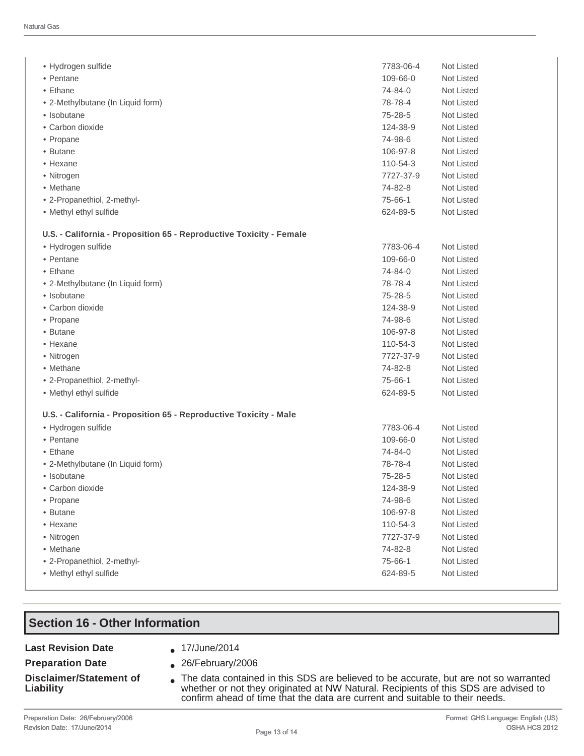| • Hydrogen sulfide                                                  | 7783-06-4     | Not Listed        |
|---------------------------------------------------------------------|---------------|-------------------|
| • Pentane                                                           | 109-66-0      | Not Listed        |
| • Ethane                                                            | 74-84-0       | <b>Not Listed</b> |
| • 2-Methylbutane (In Liquid form)                                   | 78-78-4       | Not Listed        |
| • Isobutane                                                         | 75-28-5       | <b>Not Listed</b> |
| • Carbon dioxide                                                    | 124-38-9      | Not Listed        |
| • Propane                                                           | 74-98-6       | Not Listed        |
| • Butane                                                            | 106-97-8      | Not Listed        |
| • Hexane                                                            | 110-54-3      | <b>Not Listed</b> |
| • Nitrogen                                                          | 7727-37-9     | <b>Not Listed</b> |
| • Methane                                                           | 74-82-8       | <b>Not Listed</b> |
| • 2-Propanethiol, 2-methyl-                                         | 75-66-1       | <b>Not Listed</b> |
| • Methyl ethyl sulfide                                              | 624-89-5      | Not Listed        |
|                                                                     |               |                   |
| U.S. - California - Proposition 65 - Reproductive Toxicity - Female |               |                   |
| • Hydrogen sulfide                                                  | 7783-06-4     | <b>Not Listed</b> |
| • Pentane                                                           | 109-66-0      | <b>Not Listed</b> |
| • Ethane                                                            | 74-84-0       | Not Listed        |
| • 2-Methylbutane (In Liquid form)                                   | 78-78-4       | Not Listed        |
| • Isobutane                                                         | 75-28-5       | Not Listed        |
| • Carbon dioxide                                                    | 124-38-9      | <b>Not Listed</b> |
| • Propane                                                           | 74-98-6       | <b>Not Listed</b> |
| • Butane                                                            | 106-97-8      | Not Listed        |
| • Hexane                                                            | 110-54-3      | <b>Not Listed</b> |
| • Nitrogen                                                          | 7727-37-9     | Not Listed        |
| • Methane                                                           | 74-82-8       | Not Listed        |
| • 2-Propanethiol, 2-methyl-                                         | 75-66-1       | Not Listed        |
| • Methyl ethyl sulfide                                              | 624-89-5      | Not Listed        |
| U.S. - California - Proposition 65 - Reproductive Toxicity - Male   |               |                   |
| • Hydrogen sulfide                                                  | 7783-06-4     | <b>Not Listed</b> |
| • Pentane                                                           | 109-66-0      | Not Listed        |
| • Ethane                                                            | 74-84-0       | Not Listed        |
|                                                                     | 78-78-4       | Not Listed        |
| • 2-Methylbutane (In Liquid form)                                   | $75 - 28 - 5$ |                   |
| • Isobutane                                                         |               | Not Listed        |
| • Carbon dioxide                                                    | 124-38-9      | Not Listed        |
| • Propane                                                           | 74-98-6       | Not Listed        |
| • Butane                                                            | 106-97-8      | Not Listed        |
| • Hexane                                                            | 110-54-3      | <b>Not Listed</b> |
| • Nitrogen                                                          | 7727-37-9     | <b>Not Listed</b> |
| • Methane                                                           | 74-82-8       | Not Listed        |
| • 2-Propanethiol, 2-methyl-                                         | 75-66-1       | Not Listed        |
| • Methyl ethyl sulfide                                              | 624-89-5      | Not Listed        |

## **Section 16 - Other Information**

#### Last Revision Date **a** 17/June/2014

#### **Preparation Date** <br> **a** 26/February/2006

- 
- 

# **Disclaimer/Statement of**

- 
- Disclaimer/Statement of **a** The data contained in this SDS are believed to be accurate, but are not so warranted v<br>Liability **Liability** whether or not they originated at NW Natural. Recipients of this SDS are advised to confirm ahead of time that the data are current and suitable to their needs.